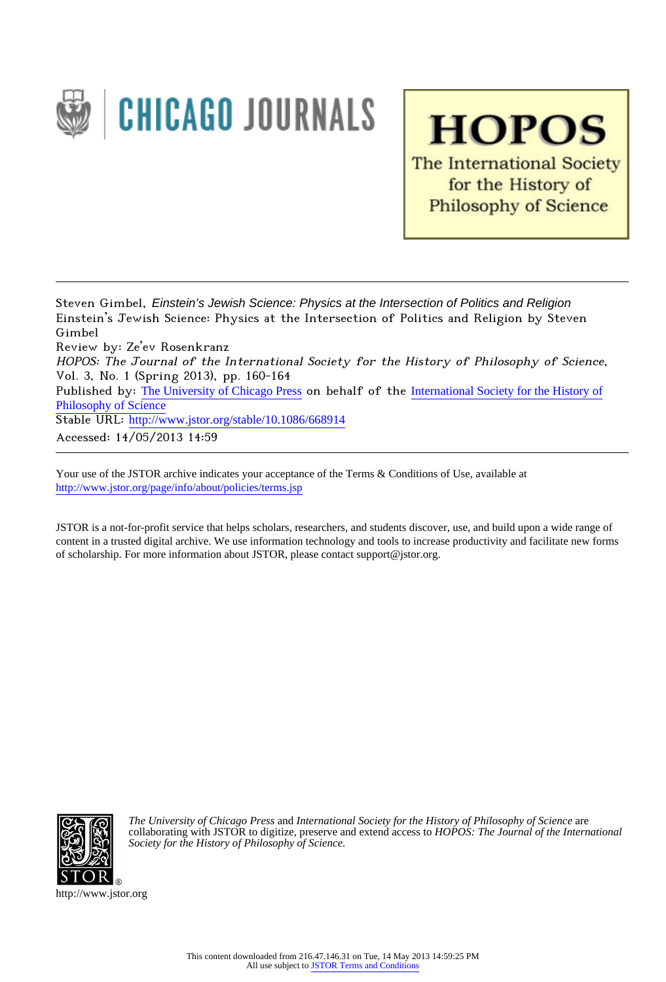

**HOPOS** The International Society for the History of **Philosophy of Science** 

Steven Gimbel, Einstein's Jewish Science: Physics at the Intersection of Politics and Religion Einstein's Jewish Science: Physics at the Intersection of Politics and Religion by Steven Gimbel

Review by: Ze'ev Rosenkranz

HOPOS: The Journal of the International Society for the History of Philosophy of Science, Vol. 3, No. 1 (Spring 2013), pp. 160-164

Published by: [The University of Chicago Press](http://www.jstor.org/action/showPublisher?publisherCode=ucpress) on behalf of the [International Society for the History of](http://www.jstor.org/action/showPublisher?publisherCode=ishps) [Philosophy of Science](http://www.jstor.org/action/showPublisher?publisherCode=ishps)

Stable URL: http://www.jstor.org/stable/10.1086/668914

Accessed: 14/05/2013 14:59

Your use of the JSTOR archive indicates your acceptance of the Terms & Conditions of Use, available at <http://www.jstor.org/page/info/about/policies/terms.jsp>

JSTOR is a not-for-profit service that helps scholars, researchers, and students discover, use, and build upon a wide range of content in a trusted digital archive. We use information technology and tools to increase productivity and facilitate new forms of scholarship. For more information about JSTOR, please contact support@jstor.org.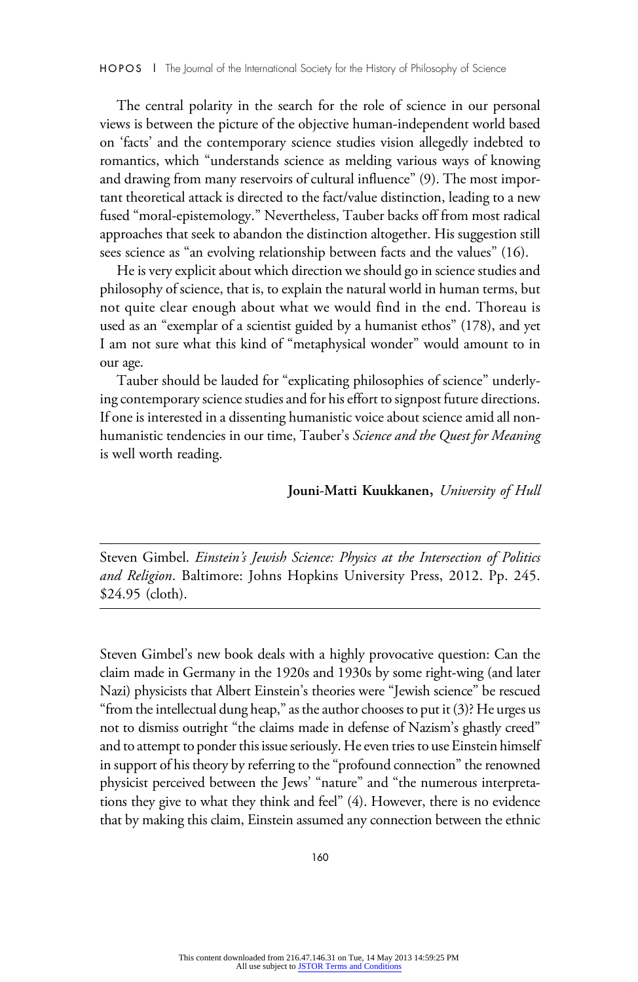Steven Gimbel. Einstein's Jewish Science: Physics at the Intersection of Politics and Religion. Baltimore: Johns Hopkins University Press, 2012. Pp. 245. \$24.95 (cloth).

Steven Gimbel's new book deals with a highly provocative question: Can the claim made in Germany in the 1920s and 1930s by some right-wing (and later Nazi) physicists that Albert Einstein's theories were "Jewish science" be rescued "from the intellectual dung heap," as the author chooses to put it  $(3)$ ? He urges us not to dismiss outright "the claims made in defense of Nazism's ghastly creed" and to attempt to ponder this issue seriously. He even tries to use Einstein himself in support of his theory by referring to the "profound connection" the renowned physicist perceived between the Jews' "nature" and "the numerous interpretations they give to what they think and feel" (4). However, there is no evidence that by making this claim, Einstein assumed any connection between the ethnic

160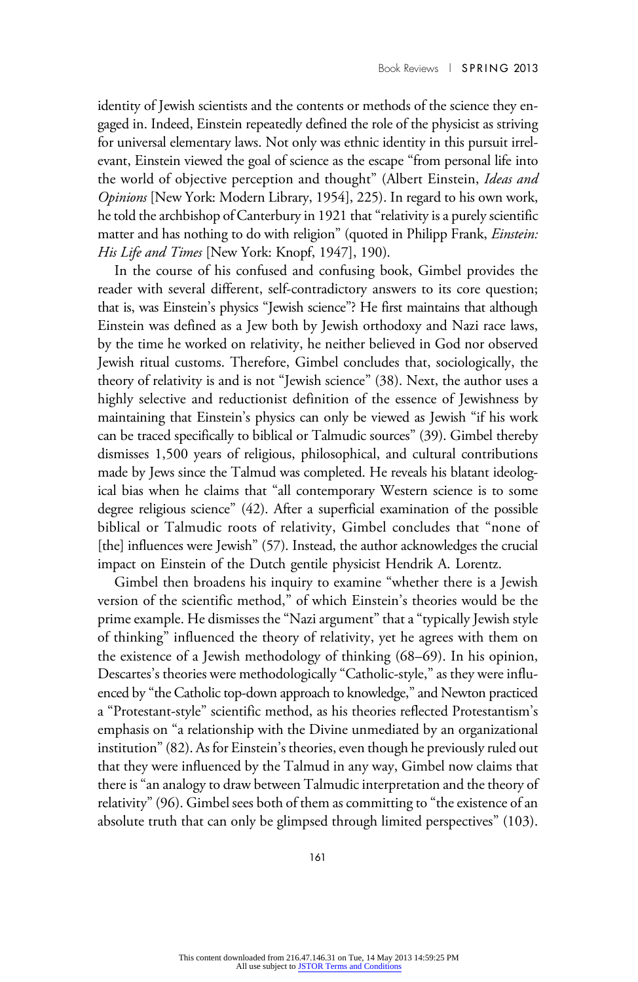identity of Jewish scientists and the contents or methods of the science they engaged in. Indeed, Einstein repeatedly defined the role of the physicist as striving for universal elementary laws. Not only was ethnic identity in this pursuit irrelevant, Einstein viewed the goal of science as the escape "from personal life into the world of objective perception and thought" (Albert Einstein, Ideas and Opinions [New York: Modern Library, 1954], 225). In regard to his own work, he told the archbishop of Canterbury in 1921 that"relativity is a purely scientific matter and has nothing to do with religion" (quoted in Philipp Frank, *Einstein*: His Life and Times [New York: Knopf, 1947], 190).

In the course of his confused and confusing book, Gimbel provides the reader with several different, self-contradictory answers to its core question; that is, was Einstein's physics "Jewish science"? He first maintains that although Einstein was defined as a Jew both by Jewish orthodoxy and Nazi race laws, by the time he worked on relativity, he neither believed in God nor observed Jewish ritual customs. Therefore, Gimbel concludes that, sociologically, the theory of relativity is and is not "Jewish science" (38). Next, the author uses a highly selective and reductionist definition of the essence of Jewishness by maintaining that Einstein's physics can only be viewed as Jewish "if his work can be traced specifically to biblical or Talmudic sources" (39). Gimbel thereby dismisses 1,500 years of religious, philosophical, and cultural contributions made by Jews since the Talmud was completed. He reveals his blatant ideological bias when he claims that "all contemporary Western science is to some degree religious science" (42). After a superficial examination of the possible biblical or Talmudic roots of relativity, Gimbel concludes that "none of [the] influences were Jewish" (57). Instead, the author acknowledges the crucial impact on Einstein of the Dutch gentile physicist Hendrik A. Lorentz.

Gimbel then broadens his inquiry to examine "whether there is a Jewish version of the scientific method," of which Einstein's theories would be the prime example. He dismisses the "Nazi argument" that a "typically Jewish style of thinking" influenced the theory of relativity, yet he agrees with them on the existence of a Jewish methodology of thinking (68–69). In his opinion, Descartes's theories were methodologically "Catholic-style," as they were influenced by "the Catholic top-down approach to knowledge,"and Newton practiced a "Protestant-style" scientific method, as his theories reflected Protestantism's emphasis on "a relationship with the Divine unmediated by an organizational institution"(82). As for Einstein's theories, even though he previously ruled out that they were influenced by the Talmud in any way, Gimbel now claims that there is"an analogy to draw between Talmudic interpretation and the theory of relativity"(96). Gimbel sees both of them as committing to "the existence of an absolute truth that can only be glimpsed through limited perspectives" (103).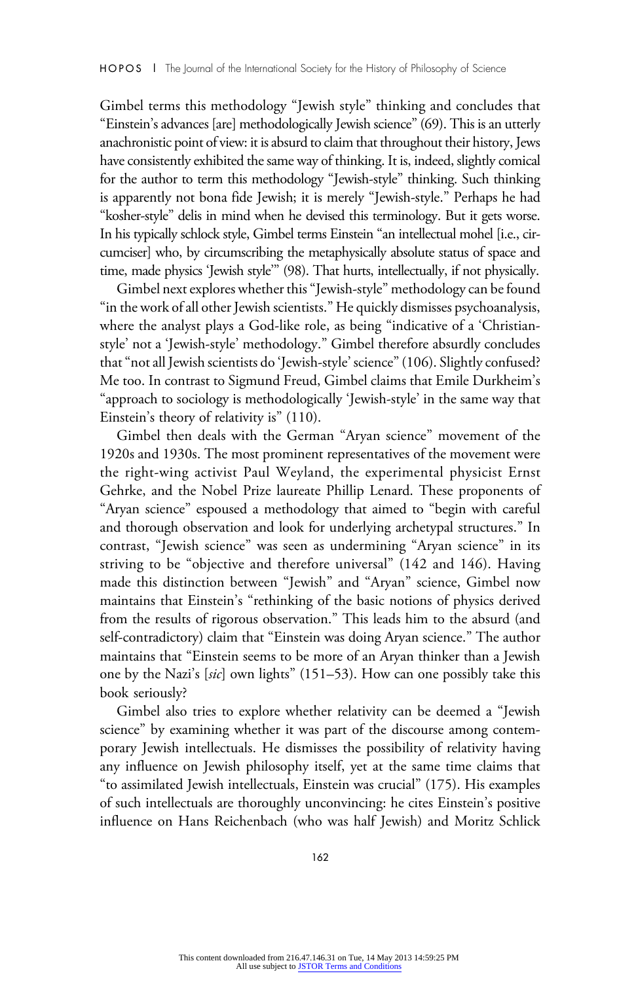Gimbel terms this methodology "Jewish style" thinking and concludes that "Einstein's advances [are] methodologically Jewish science"(69). This is an utterly anachronistic point of view: it is absurd to claim that throughout their history, Jews have consistently exhibited the same way of thinking. It is, indeed, slightly comical for the author to term this methodology "Jewish-style" thinking. Such thinking is apparently not bona fide Jewish; it is merely "Jewish-style." Perhaps he had "kosher-style" delis in mind when he devised this terminology. But it gets worse. In his typically schlock style, Gimbel terms Einstein "an intellectual mohel [i.e., circumciser] who, by circumscribing the metaphysically absolute status of space and time, made physics 'Jewish style'" (98). That hurts, intellectually, if not physically.

Gimbel next explores whether this"Jewish-style" methodology can be found "in the work of all other Jewish scientists." He quickly dismisses psychoanalysis, where the analyst plays a God-like role, as being "indicative of a 'Christianstyle' not a 'Jewish-style' methodology." Gimbel therefore absurdly concludes that"not all Jewish scientists do 'Jewish-style' science"(106). Slightly confused? Me too. In contrast to Sigmund Freud, Gimbel claims that Emile Durkheim's "approach to sociology is methodologically 'Jewish-style' in the same way that Einstein's theory of relativity is" (110).

Gimbel then deals with the German "Aryan science" movement of the 1920s and 1930s. The most prominent representatives of the movement were the right-wing activist Paul Weyland, the experimental physicist Ernst Gehrke, and the Nobel Prize laureate Phillip Lenard. These proponents of "Aryan science" espoused a methodology that aimed to "begin with careful and thorough observation and look for underlying archetypal structures." In contrast, "Jewish science" was seen as undermining "Aryan science" in its striving to be "objective and therefore universal" (142 and 146). Having made this distinction between "Jewish" and "Aryan" science, Gimbel now maintains that Einstein's "rethinking of the basic notions of physics derived from the results of rigorous observation." This leads him to the absurd (and self-contradictory) claim that "Einstein was doing Aryan science." The author maintains that "Einstein seems to be more of an Aryan thinker than a Jewish one by the Nazi's [sic] own lights" (151–53). How can one possibly take this book seriously?

Gimbel also tries to explore whether relativity can be deemed a "Jewish science" by examining whether it was part of the discourse among contemporary Jewish intellectuals. He dismisses the possibility of relativity having any influence on Jewish philosophy itself, yet at the same time claims that "to assimilated Jewish intellectuals, Einstein was crucial" (175). His examples of such intellectuals are thoroughly unconvincing: he cites Einstein's positive influence on Hans Reichenbach (who was half Jewish) and Moritz Schlick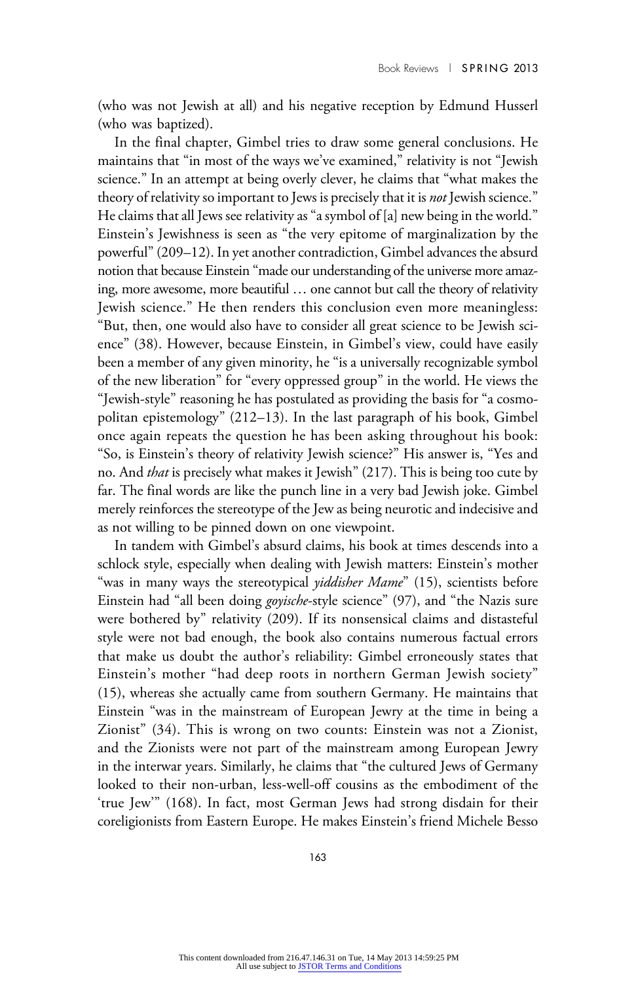(who was not Jewish at all) and his negative reception by Edmund Husserl (who was baptized).

In the final chapter, Gimbel tries to draw some general conclusions. He maintains that "in most of the ways we've examined," relativity is not "Jewish science." In an attempt at being overly clever, he claims that "what makes the theory of relativity so important to Jews is precisely that it is *not* Jewish science." He claims that all Jews see relativity as "a symbol of [a] new being in the world." Einstein's Jewishness is seen as "the very epitome of marginalization by the powerful"(209–12). In yet another contradiction, Gimbel advances the absurd notion that because Einstein "made our understanding of the universe more amazing, more awesome, more beautiful … one cannot but call the theory of relativity Jewish science." He then renders this conclusion even more meaningless: "But, then, one would also have to consider all great science to be Jewish science" (38). However, because Einstein, in Gimbel's view, could have easily been a member of any given minority, he "is a universally recognizable symbol of the new liberation" for "every oppressed group" in the world. He views the "Jewish-style" reasoning he has postulated as providing the basis for "a cosmopolitan epistemology" (212–13). In the last paragraph of his book, Gimbel once again repeats the question he has been asking throughout his book: "So, is Einstein's theory of relativity Jewish science?" His answer is, "Yes and no. And *that* is precisely what makes it Jewish" (217). This is being too cute by far. The final words are like the punch line in a very bad Jewish joke. Gimbel merely reinforces the stereotype of the Jew as being neurotic and indecisive and as not willing to be pinned down on one viewpoint.

In tandem with Gimbel's absurd claims, his book at times descends into a schlock style, especially when dealing with Jewish matters: Einstein's mother "was in many ways the stereotypical *yiddisher Mame*" (15), scientists before Einstein had "all been doing *goyische*-style science" (97), and "the Nazis sure were bothered by" relativity (209). If its nonsensical claims and distasteful style were not bad enough, the book also contains numerous factual errors that make us doubt the author's reliability: Gimbel erroneously states that Einstein's mother "had deep roots in northern German Jewish society" (15), whereas she actually came from southern Germany. He maintains that Einstein "was in the mainstream of European Jewry at the time in being a Zionist" (34). This is wrong on two counts: Einstein was not a Zionist, and the Zionists were not part of the mainstream among European Jewry in the interwar years. Similarly, he claims that "the cultured Jews of Germany looked to their non-urban, less-well-off cousins as the embodiment of the 'true Jew'" (168). In fact, most German Jews had strong disdain for their coreligionists from Eastern Europe. He makes Einstein's friend Michele Besso

163